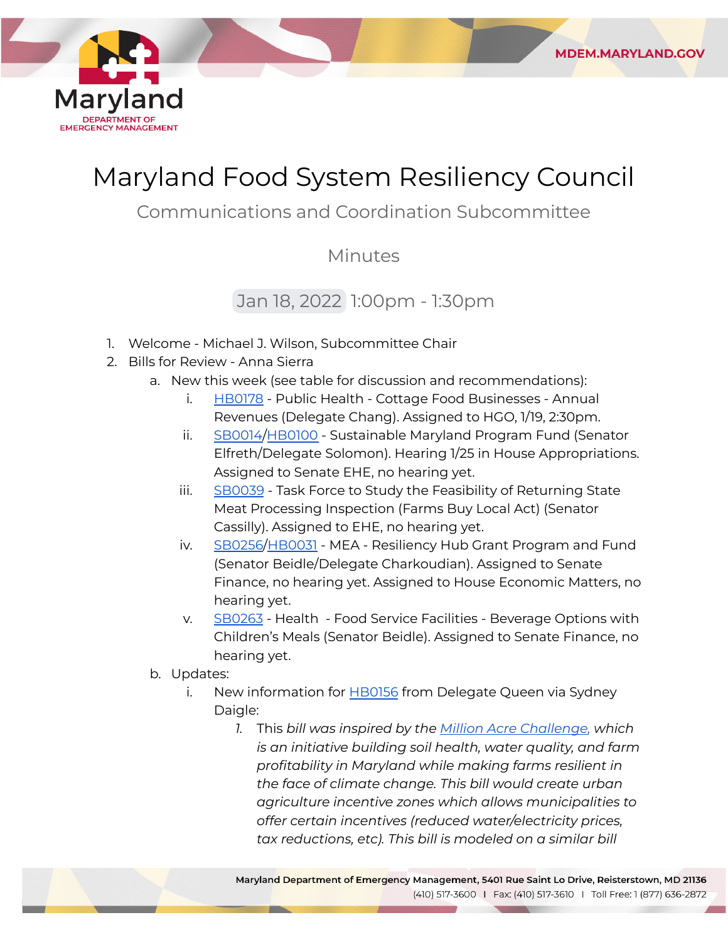

## Maryland Food System Resiliency Council

**MDEM.MARYLAND.GOV** 

### Communications and Coordination Subcommittee

#### Minutes

### Jan 18, 2022 1:00pm - 1:30pm

- 1. Welcome Michael J. Wilson, Subcommittee Chair
- 2. Bills for Review Anna Sierra
	- a. New this week (see table for discussion and recommendations):
		- i. [HB0178](https://mgaleg.maryland.gov/mgawebsite/Legislation/Details/hb0178?ys=2022RS) Public Health Cottage Food Businesses Annual Revenues (Delegate Chang). Assigned to HGO, 1/19, 2:30pm.
		- ii. <u>[SB0014/](https://mgaleg.maryland.gov/mgawebsite/Legislation/Details/sb0014?ys=2022RS)[HB0100](https://mgaleg.maryland.gov/mgawebsite/Legislation/Details/HB0100?ys=2022RS)</u> Sustainable Maryland Program Fund (Senator Elfreth/Delegate Solomon). Hearing 1/25 in House Appropriations. Assigned to Senate EHE, no hearing yet.
		- iii. <u>[SB0039](https://mgaleg.maryland.gov/mgawebsite/Legislation/Details/sb0039?ys=2022RS)</u> Task Force to Study the Feasibility of Returning State Meat Processing Inspection (Farms Buy Local Act) (Senator Cassilly). Assigned to EHE, no hearing yet.
		- iv. [SB0256](https://mgaleg.maryland.gov/mgawebsite/Legislation/Details/sb0256?ys=2022RS)[/HB0031](https://mgaleg.maryland.gov/mgawebsite/Legislation/Details/hb0031?ys=2022RS) MEA Resiliency Hub Grant Program and Fund (Senator Beidle/Delegate Charkoudian). Assigned to Senate Finance, no hearing yet. Assigned to House Economic Matters, no hearing yet.
		- v. [SB0263](https://mgaleg.maryland.gov/mgawebsite/Legislation/Details/sb0263?ys=2022RS) Health Food Service Facilities Beverage Options with Children's Meals (Senator Beidle). Assigned to Senate Finance, no hearing yet.
	- b. Updates:
		- i. New information for <u>[HB0156](https://mgaleg.maryland.gov/mgawebsite/Legislation/Details/hb0156)</u> from Delegate Queen via Sydney Daigle:
			- *1.* This *bill was inspired by the [Million Acre Challenge,](https://millionacrechallenge.org/) which is an initiative building soil health, water quality, and farm profitability in Maryland while making farms resilient in the face of climate change. This bill would create urban agriculture incentive zones which allows municipalities to offer certain incentives (reduced water/electricity prices, tax reductions, etc). This bill is modeled on a similar bill*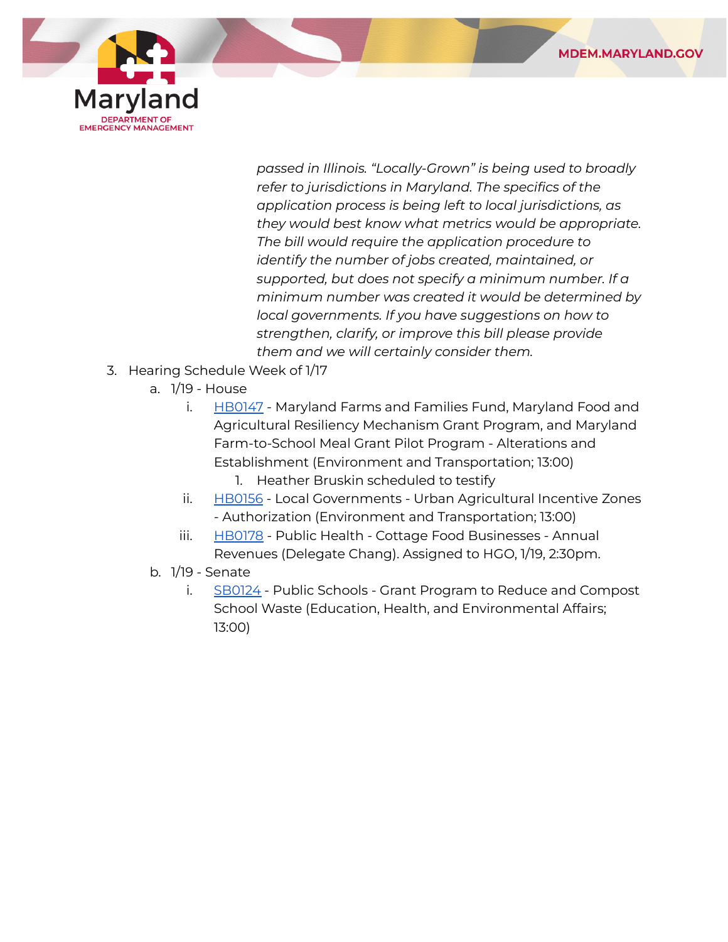

 *passed in Illinois. "Locally-Grown" is being used to broadly refer to jurisdictions in Maryland. The specifics of the application process is being left to local jurisdictions, as they would best know what metrics would be appropriate. The bill would require the application procedure to identify the number of jobs created, maintained, or supported, but does not specify a minimum number. If a minimum number was created it would be determined by local governments. If you have suggestions on how to strengthen, clarify, or improve this bill please provide them and we will certainly consider them.*

- 3. Hearing Schedule Week of 1/17
	- a. 1/19 House
		- i. [HB0147](https://mgaleg.maryland.gov/mgawebsite/Legislation/Details/hb0147) Maryland Farms and Families Fund, Maryland Food and Agricultural Resiliency Mechanism Grant Program, and Maryland Farm-to-School Meal Grant Pilot Program - Alterations and Establishment (Environment and Transportation; 13:00)
			- 1. Heather Bruskin scheduled to testify
		- ii. [HB0156](https://mgaleg.maryland.gov/mgawebsite/Legislation/Details/hb0156) Local Governments Urban Agricultural Incentive Zones - Authorization (Environment and Transportation; 13:00)
		- iii. [HB0178](https://mgaleg.maryland.gov/mgawebsite/Legislation/Details/hb0178?ys=2022RS) Public Health Cottage Food Businesses Annual Revenues (Delegate Chang). Assigned to HGO, 1/19, 2:30pm.
	- b. 1/19 Senate
		- i. [SB0124](https://mgaleg.maryland.gov/mgawebsite/Legislation/Details/SB0124?ys=2022RS) Public Schools Grant Program to Reduce and Compost School Waste (Education, Health, and Environmental Affairs; 13:00)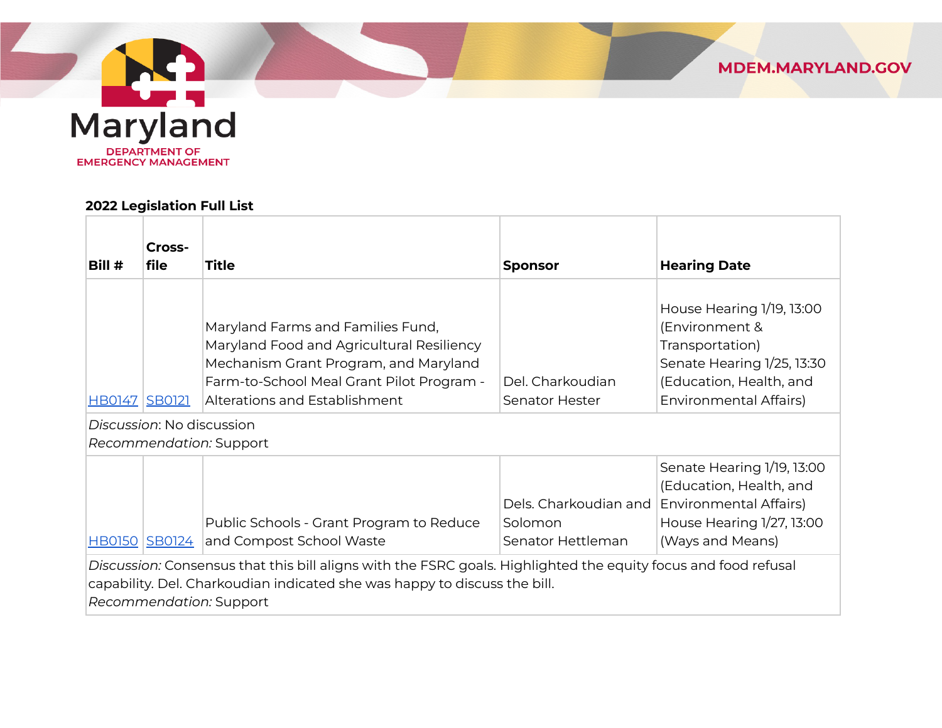

# Maryland **DEPARTMENT OF EMERGENCY MANAGEMENT**

#### **2022 Legislation Full List**

| Bill #                                                                                                                                                                                                                 | Cross-<br>file       | <b>Title</b>                                                                                                                                                                                          | <b>Sponsor</b>                                        | <b>Hearing Date</b>                                                                                                                                      |  |
|------------------------------------------------------------------------------------------------------------------------------------------------------------------------------------------------------------------------|----------------------|-------------------------------------------------------------------------------------------------------------------------------------------------------------------------------------------------------|-------------------------------------------------------|----------------------------------------------------------------------------------------------------------------------------------------------------------|--|
| <u>HB0147</u>                                                                                                                                                                                                          | <b>SB0121</b>        | Maryland Farms and Families Fund,<br>Maryland Food and Agricultural Resiliency<br>Mechanism Grant Program, and Maryland<br>Farm-to-School Meal Grant Pilot Program -<br>Alterations and Establishment | Del. Charkoudian<br>Senator Hester                    | House Hearing 1/19, 13:00<br>(Environment &<br>Transportation)<br>Senate Hearing 1/25, 13:30<br>(Education, Health, and<br><b>Environmental Affairs)</b> |  |
| Discussion: No discussion                                                                                                                                                                                              |                      |                                                                                                                                                                                                       |                                                       |                                                                                                                                                          |  |
| Recommendation: Support                                                                                                                                                                                                |                      |                                                                                                                                                                                                       |                                                       |                                                                                                                                                          |  |
|                                                                                                                                                                                                                        | <u>HB0150</u> SB0124 | Public Schools - Grant Program to Reduce<br>and Compost School Waste                                                                                                                                  | Dels. Charkoudian and<br>Solomon<br>Senator Hettleman | Senate Hearing 1/19, 13:00<br>(Education, Health, and<br><b>Environmental Affairs)</b><br>House Hearing 1/27, 13:00<br>(Ways and Means)                  |  |
| Discussion: Consensus that this bill aligns with the FSRC goals. Highlighted the equity focus and food refusal<br>capability. Del. Charkoudian indicated she was happy to discuss the bill.<br>Recommendation: Support |                      |                                                                                                                                                                                                       |                                                       |                                                                                                                                                          |  |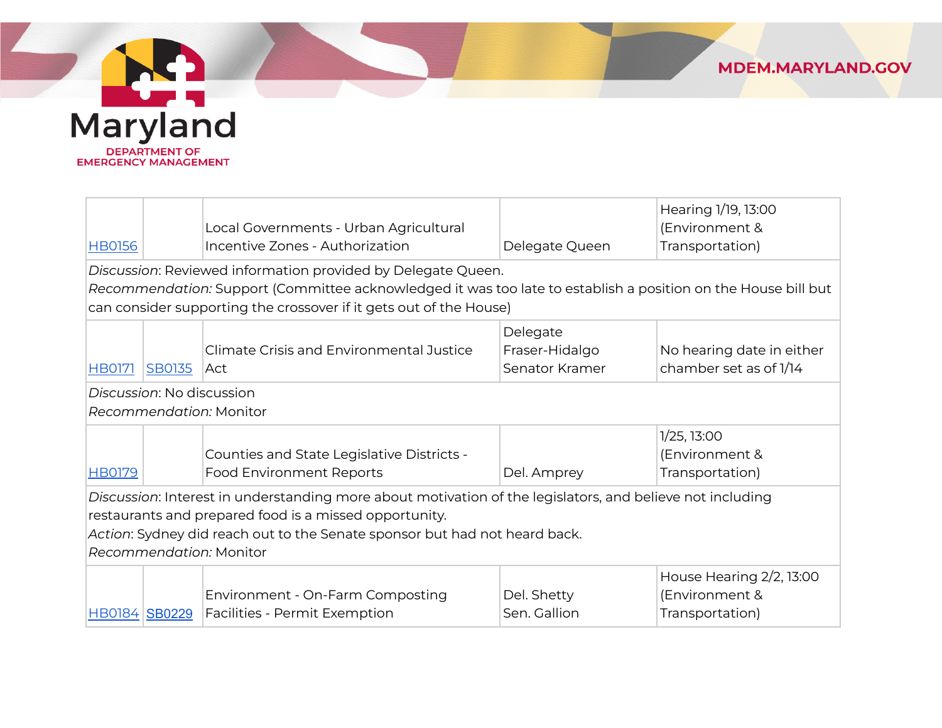



|                                                                                                           |                           |                                                                                                               |                | Hearing 1/19, 13:00       |  |
|-----------------------------------------------------------------------------------------------------------|---------------------------|---------------------------------------------------------------------------------------------------------------|----------------|---------------------------|--|
|                                                                                                           |                           | Local Governments - Urban Agricultural                                                                        |                | (Environment &            |  |
| <b>HB0156</b>                                                                                             |                           | Incentive Zones - Authorization                                                                               | Delegate Queen | Transportation)           |  |
|                                                                                                           |                           | Discussion: Reviewed information provided by Delegate Queen.                                                  |                |                           |  |
|                                                                                                           |                           | Recommendation: Support (Committee acknowledged it was too late to establish a position on the House bill but |                |                           |  |
|                                                                                                           |                           | can consider supporting the crossover if it gets out of the House)                                            |                |                           |  |
|                                                                                                           |                           |                                                                                                               | Delegate       |                           |  |
|                                                                                                           |                           | Climate Crisis and Environmental Justice                                                                      | Fraser-Hidalgo | No hearing date in either |  |
| <b>HB0171</b>                                                                                             | <b>SB0135</b>             | ∣Act                                                                                                          | Senator Kramer | chamber set as of 1/14    |  |
|                                                                                                           | Discussion: No discussion |                                                                                                               |                |                           |  |
|                                                                                                           |                           | Recommendation: Monitor                                                                                       |                |                           |  |
|                                                                                                           |                           |                                                                                                               |                | 1/25, 13:00               |  |
|                                                                                                           |                           | Counties and State Legislative Districts -                                                                    |                | (Environment &            |  |
| <b>HB0179</b>                                                                                             |                           | <b>Food Environment Reports</b>                                                                               | Del. Amprey    | Transportation)           |  |
| Discussion: Interest in understanding more about motivation of the legislators, and believe not including |                           |                                                                                                               |                |                           |  |
| restaurants and prepared food is a missed opportunity.                                                    |                           |                                                                                                               |                |                           |  |
| Action: Sydney did reach out to the Senate sponsor but had not heard back.                                |                           |                                                                                                               |                |                           |  |
| Recommendation: Monitor                                                                                   |                           |                                                                                                               |                |                           |  |
|                                                                                                           |                           |                                                                                                               |                | House Hearing 2/2, 13:00  |  |
|                                                                                                           |                           | Environment - On-Farm Composting                                                                              | Del. Shetty    | (Environment &            |  |
| HB0184 SB0229                                                                                             |                           | Facilities - Permit Exemption                                                                                 | Sen. Gallion   | Transportation)           |  |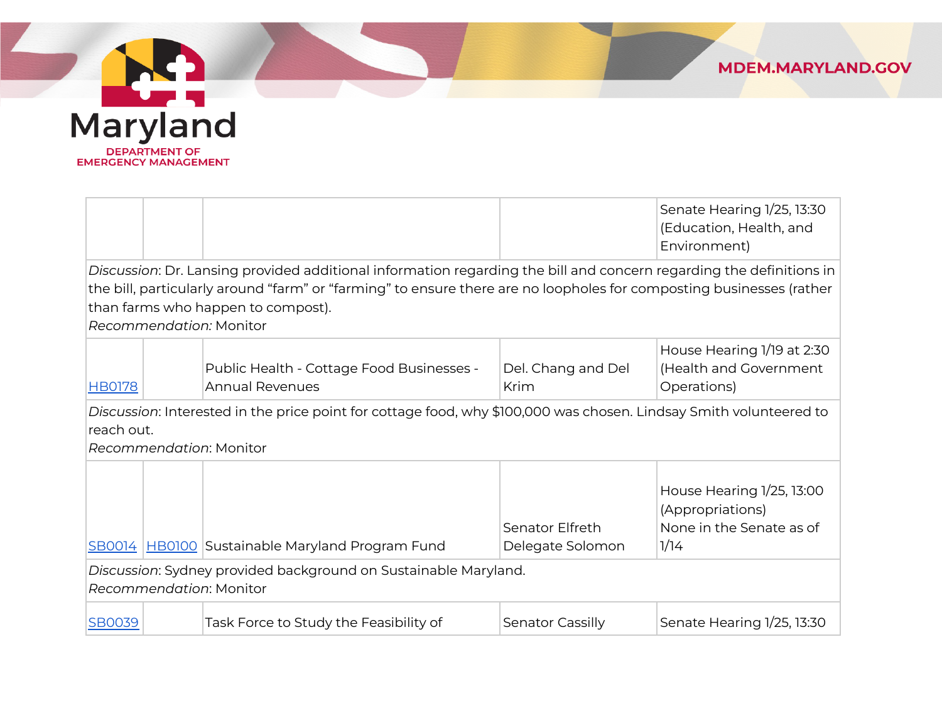

| Maryland                                            |
|-----------------------------------------------------|
| <b>DEPARTMENT OF</b><br><b>EMERGENCY MANAGEMENT</b> |

**CONTRACTOR** 

|                                                                                                                                                                                                                                                                                                              |  |                                                                     |                                     | Senate Hearing 1/25, 13:30<br>(Education, Health, and<br>Environment)             |  |
|--------------------------------------------------------------------------------------------------------------------------------------------------------------------------------------------------------------------------------------------------------------------------------------------------------------|--|---------------------------------------------------------------------|-------------------------------------|-----------------------------------------------------------------------------------|--|
| Discussion: Dr. Lansing provided additional information regarding the bill and concern regarding the definitions in<br>the bill, particularly around "farm" or "farming" to ensure there are no loopholes for composting businesses (rather<br>than farms who happen to compost).<br>Recommendation: Monitor |  |                                                                     |                                     |                                                                                   |  |
| <b>HB0178</b>                                                                                                                                                                                                                                                                                                |  | Public Health - Cottage Food Businesses -<br><b>Annual Revenues</b> | Del. Chang and Del<br>Krim          | House Hearing 1/19 at 2:30<br>(Health and Government<br>Operations)               |  |
| Discussion: Interested in the price point for cottage food, why \$100,000 was chosen. Lindsay Smith volunteered to<br>reach out.<br>Recommendation: Monitor                                                                                                                                                  |  |                                                                     |                                     |                                                                                   |  |
|                                                                                                                                                                                                                                                                                                              |  | SB0014 HB0100 Sustainable Maryland Program Fund                     | Senator Elfreth<br>Delegate Solomon | House Hearing 1/25, 13:00<br>(Appropriations)<br>None in the Senate as of<br>1/14 |  |
| Discussion: Sydney provided background on Sustainable Maryland.<br>Recommendation: Monitor                                                                                                                                                                                                                   |  |                                                                     |                                     |                                                                                   |  |
| <b>SB0039</b>                                                                                                                                                                                                                                                                                                |  | Task Force to Study the Feasibility of                              | Senator Cassilly                    | Senate Hearing 1/25, 13:30                                                        |  |